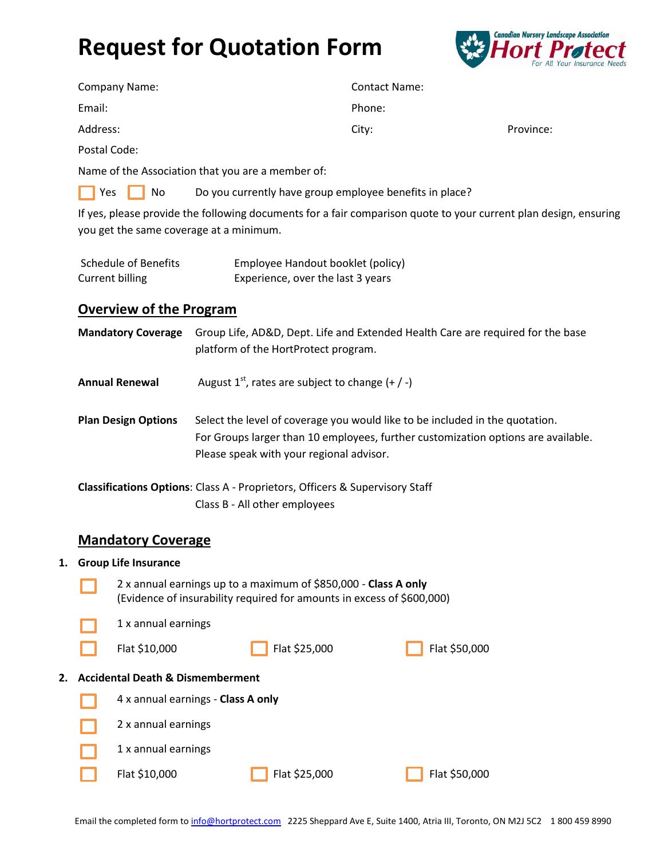# **Request for Quotation Form**



| <b>Company Name:</b> | <b>Contact Name:</b> |           |  |  |  |
|----------------------|----------------------|-----------|--|--|--|
| Email:               | Phone:               |           |  |  |  |
| Address:             | City:                | Province: |  |  |  |

Postal Code:

Name of the Association that you are a member of:

|--|--|

No Do you currently have group employee benefits in place?

If yes, please provide the following documents for a fair comparison quote to your current plan design, ensuring you get the same coverage at a minimum.

| <b>Schedule of Benefits</b> | Employee Handout booklet (policy) |
|-----------------------------|-----------------------------------|
| Current billing             | Experience, over the last 3 years |

### **Overview of the Program**

**Mandatory Coverage** Group Life, AD&D, Dept. Life and Extended Health Care are required for the base platform of the HortProtect program.

**Annual Renewal** August  $1^{st}$ , rates are subject to change  $(+ / -)$ 

**Plan Design Options** Select the level of coverage you would like to be included in the quotation. For Groups larger than 10 employees, further customization options are available. Please speak with your regional advisor.

**Classifications Options**: Class A - Proprietors, Officers & Supervisory Staff Class B - All other employees

#### **Mandatory Coverage**

#### **1. Group Life Insurance**

| 2 x annual earnings up to a maximum of \$850,000 - Class A only<br>(Evidence of insurability required for amounts in excess of \$600,000) |
|-------------------------------------------------------------------------------------------------------------------------------------------|
| 1 x annual earnings                                                                                                                       |

## **2. Accidental Death & Dismemberment**

| 4 x annual earnings - Class A only |               |               |  |  |  |
|------------------------------------|---------------|---------------|--|--|--|
| 2 x annual earnings                |               |               |  |  |  |
| 1 x annual earnings                |               |               |  |  |  |
| Flat \$10,000                      | Flat \$25,000 | Flat \$50,000 |  |  |  |

Flat \$10,000 Flat \$25,000 Flat \$50,000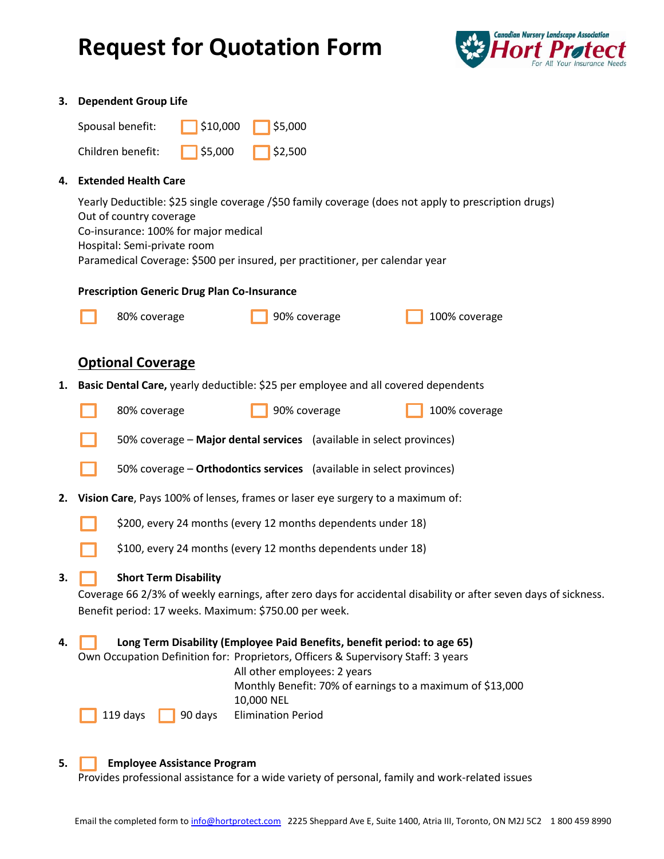# **Request for Quotation Form**



|    | 3. Dependent Group Life                                                                                                                                                                                                                                                                |  |  |  |  |  |
|----|----------------------------------------------------------------------------------------------------------------------------------------------------------------------------------------------------------------------------------------------------------------------------------------|--|--|--|--|--|
|    | Spousal benefit:<br>\$10,000<br>\$5,000                                                                                                                                                                                                                                                |  |  |  |  |  |
|    | Children benefit:<br>\$5,000<br>\$2,500                                                                                                                                                                                                                                                |  |  |  |  |  |
| 4. | <b>Extended Health Care</b>                                                                                                                                                                                                                                                            |  |  |  |  |  |
|    | Yearly Deductible: \$25 single coverage /\$50 family coverage (does not apply to prescription drugs)<br>Out of country coverage<br>Co-insurance: 100% for major medical<br>Hospital: Semi-private room<br>Paramedical Coverage: \$500 per insured, per practitioner, per calendar year |  |  |  |  |  |
|    | <b>Prescription Generic Drug Plan Co-Insurance</b>                                                                                                                                                                                                                                     |  |  |  |  |  |
|    | 90% coverage<br>100% coverage<br>80% coverage                                                                                                                                                                                                                                          |  |  |  |  |  |
|    | <b>Optional Coverage</b>                                                                                                                                                                                                                                                               |  |  |  |  |  |
| 1. | Basic Dental Care, yearly deductible: \$25 per employee and all covered dependents                                                                                                                                                                                                     |  |  |  |  |  |
|    | 90% coverage<br>100% coverage<br>80% coverage                                                                                                                                                                                                                                          |  |  |  |  |  |
|    | 50% coverage - Major dental services (available in select provinces)                                                                                                                                                                                                                   |  |  |  |  |  |
|    | 50% coverage - Orthodontics services (available in select provinces)                                                                                                                                                                                                                   |  |  |  |  |  |
| 2. | Vision Care, Pays 100% of lenses, frames or laser eye surgery to a maximum of:                                                                                                                                                                                                         |  |  |  |  |  |
|    | \$200, every 24 months (every 12 months dependents under 18)                                                                                                                                                                                                                           |  |  |  |  |  |
|    | \$100, every 24 months (every 12 months dependents under 18)                                                                                                                                                                                                                           |  |  |  |  |  |
| 3. | <b>Short Term Disability</b><br>Coverage 66 2/3% of weekly earnings, after zero days for accidental disability or after seven days of sickness.<br>Benefit period: 17 weeks. Maximum: \$750.00 per week.                                                                               |  |  |  |  |  |
| 4. | Long Term Disability (Employee Paid Benefits, benefit period: to age 65)<br>Own Occupation Definition for: Proprietors, Officers & Supervisory Staff: 3 years<br>All other employees: 2 years<br>Monthly Benefit: 70% of earnings to a maximum of \$13,000<br>10,000 NEL               |  |  |  |  |  |
|    | <b>Elimination Period</b><br>119 days<br>90 days                                                                                                                                                                                                                                       |  |  |  |  |  |

#### **5. Employee Assistance Program**

Provides professional assistance for a wide variety of personal, family and work-related issues